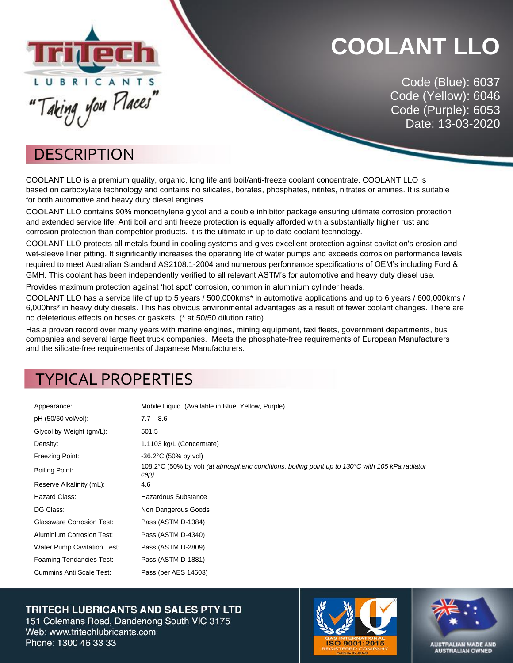

### **COOLANT LLO**

Code (Blue): 6037 Code (Yellow): 6046 Code (Purple): 6053 Date: 13-03-2020

#### **DESCRIPTION**

COOLANT LLO is a premium quality, organic, long life anti boil/anti-freeze coolant concentrate. COOLANT LLO is based on carboxylate technology and contains no silicates, borates, phosphates, nitrites, nitrates or amines. It is suitable for both automotive and heavy duty diesel engines.

COOLANT LLO contains 90% monoethylene glycol and a double inhibitor package ensuring ultimate corrosion protection and extended service life. Anti boil and anti freeze protection is equally afforded with a substantially higher rust and corrosion protection than competitor products. It is the ultimate in up to date coolant technology.

COOLANT LLO protects all metals found in cooling systems and gives excellent protection against cavitation's erosion and wet-sleeve liner pitting. It significantly increases the operating life of water pumps and exceeds corrosion performance levels required to meet Australian Standard AS2108.1-2004 and numerous performance specifications of OEM's including Ford & GMH. This coolant has been independently verified to all relevant ASTM's for automotive and heavy duty diesel use.

Provides maximum protection against 'hot spot' corrosion, common in aluminium cylinder heads.

COOLANT LLO has a service life of up to 5 years / 500,000kms\* in automotive applications and up to 6 years / 600,000kms / 6,000hrs\* in heavy duty diesels. This has obvious environmental advantages as a result of fewer coolant changes. There are no deleterious effects on hoses or gaskets. (\* at 50/50 dilution ratio)

Has a proven record over many years with marine engines, mining equipment, taxi fleets, government departments, bus companies and several large fleet truck companies. Meets the phosphate-free requirements of European Manufacturers and the silicate-free requirements of Japanese Manufacturers.

### TYPICAL PROPERTIES

| Appearance:                      | Mobile Liquid (Available in Blue, Yellow, Purple)                                                        |
|----------------------------------|----------------------------------------------------------------------------------------------------------|
| pH (50/50 vol/vol):              | $7.7 - 8.6$                                                                                              |
| Glycol by Weight (gm/L):         | 501.5                                                                                                    |
| Density:                         | 1.1103 kg/L (Concentrate)                                                                                |
| Freezing Point:                  | $-36.2^{\circ}$ C (50% by vol)                                                                           |
| Boiling Point:                   | 108.2°C (50% by vol) (at atmospheric conditions, boiling point up to 130°C with 105 kPa radiator<br>cap) |
| Reserve Alkalinity (mL):         | 4.6                                                                                                      |
| Hazard Class:                    | Hazardous Substance                                                                                      |
| DG Class:                        | Non Dangerous Goods                                                                                      |
| <b>Glassware Corrosion Test:</b> | Pass (ASTM D-1384)                                                                                       |
| Aluminium Corrosion Test:        | Pass (ASTM D-4340)                                                                                       |
| Water Pump Cavitation Test:      | Pass (ASTM D-2809)                                                                                       |
| <b>Foaming Tendancies Test:</b>  | Pass (ASTM D-1881)                                                                                       |
| <b>Cummins Anti Scale Test:</b>  | Pass (per AES 14603)                                                                                     |

#### **TRITECH LUBRICANTS AND SALES PTY LTD**

151 Colemans Road, Dandenong South VIC 3175 Web: www.tritechlubricants.com Phone: 1300 46 33 33





**AUSTRALIAN MADE AND**<br>AUSTRALIAN OWNED